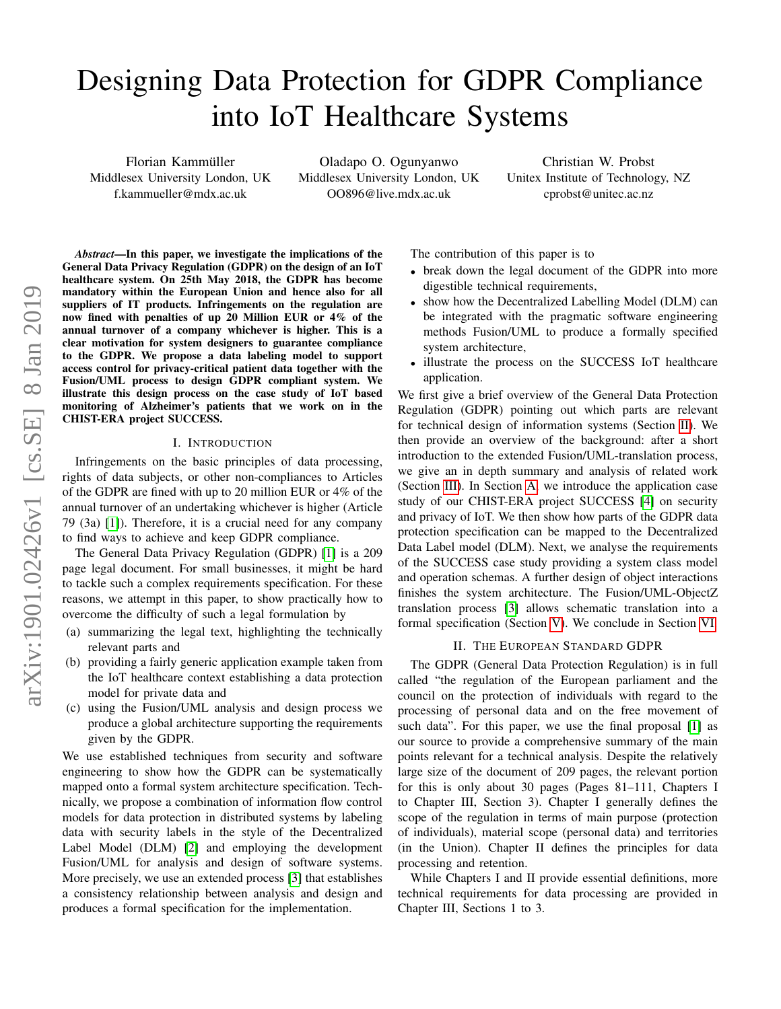# Designing Data Protection for GDPR Compliance into IoT Healthcare Systems

Florian Kammüller Middlesex University London, UK f.kammueller@mdx.ac.uk

Oladapo O. Ogunyanwo Middlesex University London, UK OO896@live.mdx.ac.uk

Christian W. Probst Unitex Institute of Technology, NZ cprobst@unitec.ac.nz

*Abstract*—In this paper, we investigate the implications of the General Data Privacy Regulation (GDPR) on the design of an IoT healthcare system. On 25th May 2018, the GDPR has become mandatory within the European Union and hence also for all suppliers of IT products. Infringements on the regulation are now fined with penalties of up 20 Million EUR or 4% of the annual turnover of a company whichever is higher. This is a clear motivation for system designers to guarantee compliance to the GDPR. We propose a data labeling model to support access control for privacy-critical patient data together with the Fusion/UML process to design GDPR compliant system. We illustrate this design process on the case study of IoT based monitoring of Alzheimer's patients that we work on in the CHIST-ERA project SUCCESS.

#### I. INTRODUCTION

Infringements on the basic principles of data processing, rights of data subjects, or other non-compliances to Articles of the GDPR are fined with up to 20 million EUR or 4% of the annual turnover of an undertaking whichever is higher (Article 79 (3a) [\[1\]](#page-5-0)). Therefore, it is a crucial need for any company to find ways to achieve and keep GDPR compliance.

The General Data Privacy Regulation (GDPR) [\[1\]](#page-5-0) is a 209 page legal document. For small businesses, it might be hard to tackle such a complex requirements specification. For these reasons, we attempt in this paper, to show practically how to overcome the difficulty of such a legal formulation by

- (a) summarizing the legal text, highlighting the technically relevant parts and
- (b) providing a fairly generic application example taken from the IoT healthcare context establishing a data protection model for private data and
- (c) using the Fusion/UML analysis and design process we produce a global architecture supporting the requirements given by the GDPR.

We use established techniques from security and software engineering to show how the GDPR can be systematically mapped onto a formal system architecture specification. Technically, we propose a combination of information flow control models for data protection in distributed systems by labeling data with security labels in the style of the Decentralized Label Model (DLM) [\[2\]](#page-5-1) and employing the development Fusion/UML for analysis and design of software systems. More precisely, we use an extended process [\[3\]](#page-5-2) that establishes a consistency relationship between analysis and design and produces a formal specification for the implementation.

The contribution of this paper is to

- break down the legal document of the GDPR into more digestible technical requirements,
- show how the Decentralized Labelling Model (DLM) can be integrated with the pragmatic software engineering methods Fusion/UML to produce a formally specified system architecture,
- illustrate the process on the SUCCESS IoT healthcare application.

We first give a brief overview of the General Data Protection Regulation (GDPR) pointing out which parts are relevant for technical design of information systems (Section [II\)](#page-0-0). We then provide an overview of the background: after a short introduction to the extended Fusion/UML-translation process, we give an in depth summary and analysis of related work (Section [III\)](#page-1-0). In Section [A,](#page-6-0) we introduce the application case study of our CHIST-ERA project SUCCESS [\[4\]](#page-5-3) on security and privacy of IoT. We then show how parts of the GDPR data protection specification can be mapped to the Decentralized Data Label model (DLM). Next, we analyse the requirements of the SUCCESS case study providing a system class model and operation schemas. A further design of object interactions finishes the system architecture. The Fusion/UML-ObjectZ translation process [\[3\]](#page-5-2) allows schematic translation into a formal specification (Section [V\)](#page-2-0). We conclude in Section [VI.](#page-4-0)

# II. THE EUROPEAN STANDARD GDPR

<span id="page-0-0"></span>The GDPR (General Data Protection Regulation) is in full called "the regulation of the European parliament and the council on the protection of individuals with regard to the processing of personal data and on the free movement of such data". For this paper, we use the final proposal [\[1\]](#page-5-0) as our source to provide a comprehensive summary of the main points relevant for a technical analysis. Despite the relatively large size of the document of 209 pages, the relevant portion for this is only about 30 pages (Pages 81–111, Chapters I to Chapter III, Section 3). Chapter I generally defines the scope of the regulation in terms of main purpose (protection of individuals), material scope (personal data) and territories (in the Union). Chapter II defines the principles for data processing and retention.

While Chapters I and II provide essential definitions, more technical requirements for data processing are provided in Chapter III, Sections 1 to 3.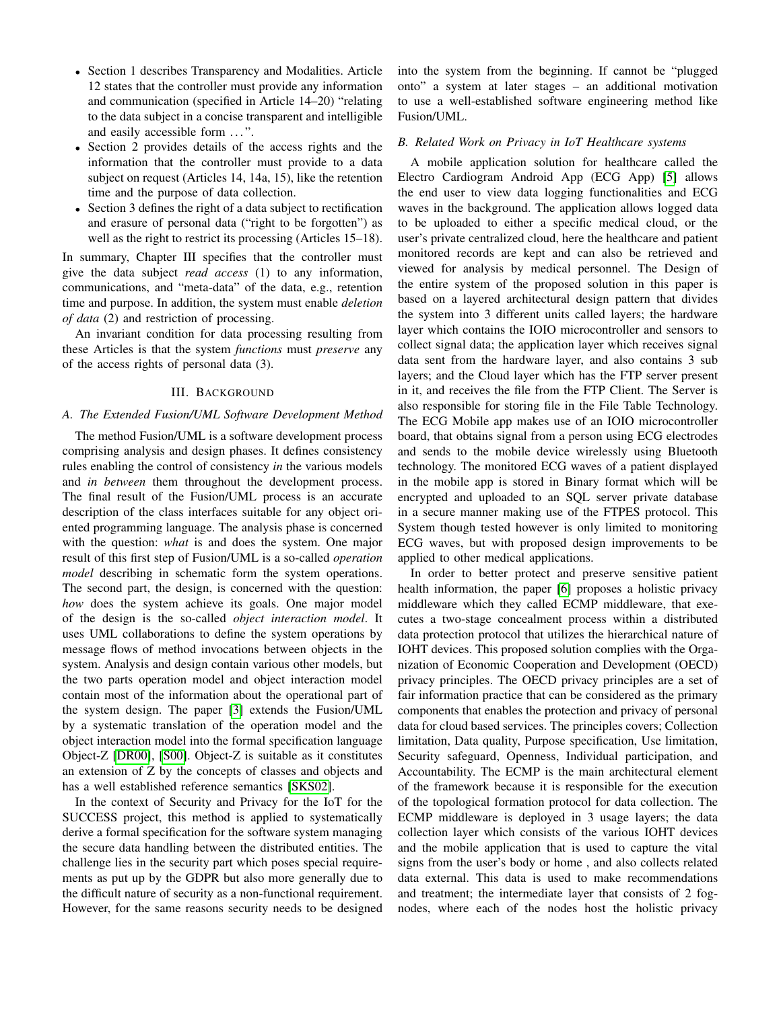- Section 1 describes Transparency and Modalities. Article 12 states that the controller must provide any information and communication (specified in Article 14–20) "relating to the data subject in a concise transparent and intelligible and easily accessible form ...".
- Section 2 provides details of the access rights and the information that the controller must provide to a data subject on request (Articles 14, 14a, 15), like the retention time and the purpose of data collection.
- Section 3 defines the right of a data subject to rectification and erasure of personal data ("right to be forgotten") as well as the right to restrict its processing (Articles 15–18).

In summary, Chapter III specifies that the controller must give the data subject *read access* (1) to any information, communications, and "meta-data" of the data, e.g., retention time and purpose. In addition, the system must enable *deletion of data* (2) and restriction of processing.

An invariant condition for data processing resulting from these Articles is that the system *functions* must *preserve* any of the access rights of personal data (3).

# III. BACKGROUND

# <span id="page-1-0"></span>*A. The Extended Fusion/UML Software Development Method*

The method Fusion/UML is a software development process comprising analysis and design phases. It defines consistency rules enabling the control of consistency *in* the various models and *in between* them throughout the development process. The final result of the Fusion/UML process is an accurate description of the class interfaces suitable for any object oriented programming language. The analysis phase is concerned with the question: *what* is and does the system. One major result of this first step of Fusion/UML is a so-called *operation model* describing in schematic form the system operations. The second part, the design, is concerned with the question: *how* does the system achieve its goals. One major model of the design is the so-called *object interaction model*. It uses UML collaborations to define the system operations by message flows of method invocations between objects in the system. Analysis and design contain various other models, but the two parts operation model and object interaction model contain most of the information about the operational part of the system design. The paper [\[3\]](#page-5-2) extends the Fusion/UML by a systematic translation of the operation model and the object interaction model into the formal specification language Object-Z [\[DR00\]](#page-5-4), [\[S00\]](#page-5-5). Object-Z is suitable as it constitutes an extension of Z by the concepts of classes and objects and has a well established reference semantics [\[SKS02\]](#page-5-6).

In the context of Security and Privacy for the IoT for the SUCCESS project, this method is applied to systematically derive a formal specification for the software system managing the secure data handling between the distributed entities. The challenge lies in the security part which poses special requirements as put up by the GDPR but also more generally due to the difficult nature of security as a non-functional requirement. However, for the same reasons security needs to be designed into the system from the beginning. If cannot be "plugged onto" a system at later stages – an additional motivation to use a well-established software engineering method like Fusion/UML.

# *B. Related Work on Privacy in IoT Healthcare systems*

A mobile application solution for healthcare called the Electro Cardiogram Android App (ECG App) [\[5\]](#page-5-7) allows the end user to view data logging functionalities and ECG waves in the background. The application allows logged data to be uploaded to either a specific medical cloud, or the user's private centralized cloud, here the healthcare and patient monitored records are kept and can also be retrieved and viewed for analysis by medical personnel. The Design of the entire system of the proposed solution in this paper is based on a layered architectural design pattern that divides the system into 3 different units called layers; the hardware layer which contains the IOIO microcontroller and sensors to collect signal data; the application layer which receives signal data sent from the hardware layer, and also contains 3 sub layers; and the Cloud layer which has the FTP server present in it, and receives the file from the FTP Client. The Server is also responsible for storing file in the File Table Technology. The ECG Mobile app makes use of an IOIO microcontroller board, that obtains signal from a person using ECG electrodes and sends to the mobile device wirelessly using Bluetooth technology. The monitored ECG waves of a patient displayed in the mobile app is stored in Binary format which will be encrypted and uploaded to an SQL server private database in a secure manner making use of the FTPES protocol. This System though tested however is only limited to monitoring ECG waves, but with proposed design improvements to be applied to other medical applications.

In order to better protect and preserve sensitive patient health information, the paper [\[6\]](#page-5-8) proposes a holistic privacy middleware which they called ECMP middleware, that executes a two-stage concealment process within a distributed data protection protocol that utilizes the hierarchical nature of IOHT devices. This proposed solution complies with the Organization of Economic Cooperation and Development (OECD) privacy principles. The OECD privacy principles are a set of fair information practice that can be considered as the primary components that enables the protection and privacy of personal data for cloud based services. The principles covers; Collection limitation, Data quality, Purpose specification, Use limitation, Security safeguard, Openness, Individual participation, and Accountability. The ECMP is the main architectural element of the framework because it is responsible for the execution of the topological formation protocol for data collection. The ECMP middleware is deployed in 3 usage layers; the data collection layer which consists of the various IOHT devices and the mobile application that is used to capture the vital signs from the user's body or home , and also collects related data external. This data is used to make recommendations and treatment; the intermediate layer that consists of 2 fognodes, where each of the nodes host the holistic privacy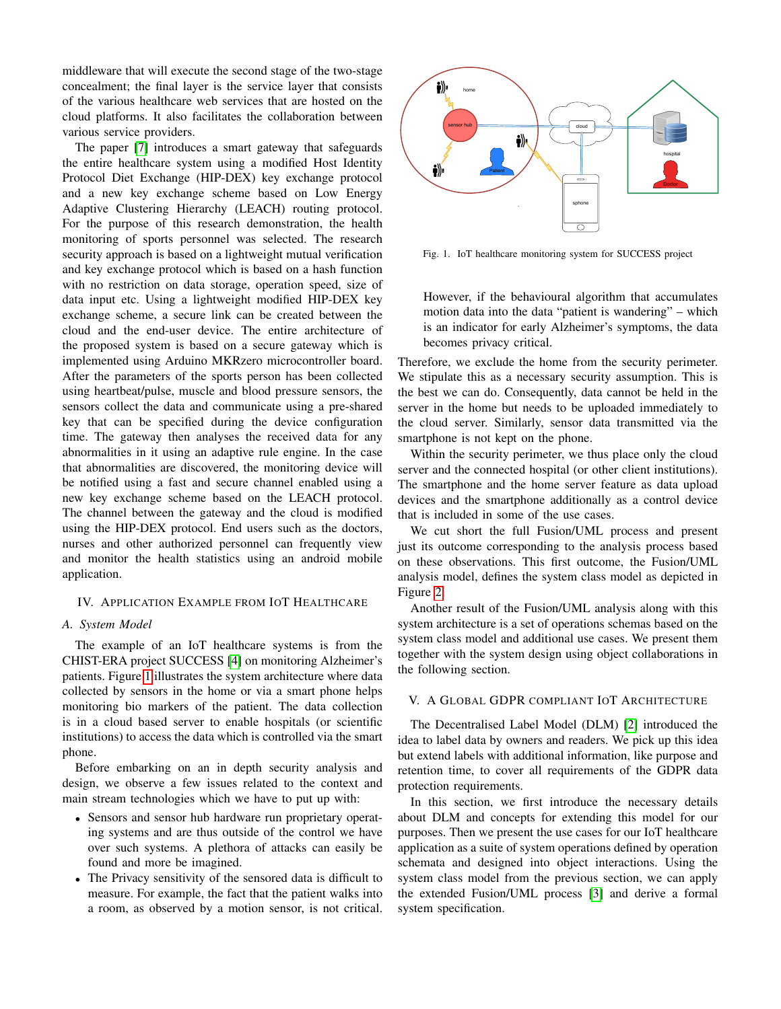middleware that will execute the second stage of the two-stage concealment; the final layer is the service layer that consists of the various healthcare web services that are hosted on the cloud platforms. It also facilitates the collaboration between various service providers.

The paper [\[7\]](#page-5-9) introduces a smart gateway that safeguards the entire healthcare system using a modified Host Identity Protocol Diet Exchange (HIP-DEX) key exchange protocol and a new key exchange scheme based on Low Energy Adaptive Clustering Hierarchy (LEACH) routing protocol. For the purpose of this research demonstration, the health monitoring of sports personnel was selected. The research security approach is based on a lightweight mutual verification and key exchange protocol which is based on a hash function with no restriction on data storage, operation speed, size of data input etc. Using a lightweight modified HIP-DEX key exchange scheme, a secure link can be created between the cloud and the end-user device. The entire architecture of the proposed system is based on a secure gateway which is implemented using Arduino MKRzero microcontroller board. After the parameters of the sports person has been collected using heartbeat/pulse, muscle and blood pressure sensors, the sensors collect the data and communicate using a pre-shared key that can be specified during the device configuration time. The gateway then analyses the received data for any abnormalities in it using an adaptive rule engine. In the case that abnormalities are discovered, the monitoring device will be notified using a fast and secure channel enabled using a new key exchange scheme based on the LEACH protocol. The channel between the gateway and the cloud is modified using the HIP-DEX protocol. End users such as the doctors, nurses and other authorized personnel can frequently view and monitor the health statistics using an android mobile application.

# IV. APPLICATION EXAMPLE FROM IOT HEALTHCARE

## *A. System Model*

The example of an IoT healthcare systems is from the CHIST-ERA project SUCCESS [\[4\]](#page-5-3) on monitoring Alzheimer's patients. Figure [1](#page-2-1) illustrates the system architecture where data collected by sensors in the home or via a smart phone helps monitoring bio markers of the patient. The data collection is in a cloud based server to enable hospitals (or scientific institutions) to access the data which is controlled via the smart phone.

Before embarking on an in depth security analysis and design, we observe a few issues related to the context and main stream technologies which we have to put up with:

- Sensors and sensor hub hardware run proprietary operating systems and are thus outside of the control we have over such systems. A plethora of attacks can easily be found and more be imagined.
- The Privacy sensitivity of the sensored data is difficult to measure. For example, the fact that the patient walks into a room, as observed by a motion sensor, is not critical.



<span id="page-2-1"></span>Fig. 1. IoT healthcare monitoring system for SUCCESS project

However, if the behavioural algorithm that accumulates motion data into the data "patient is wandering" – which is an indicator for early Alzheimer's symptoms, the data becomes privacy critical.

Therefore, we exclude the home from the security perimeter. We stipulate this as a necessary security assumption. This is the best we can do. Consequently, data cannot be held in the server in the home but needs to be uploaded immediately to the cloud server. Similarly, sensor data transmitted via the smartphone is not kept on the phone.

Within the security perimeter, we thus place only the cloud server and the connected hospital (or other client institutions). The smartphone and the home server feature as data upload devices and the smartphone additionally as a control device that is included in some of the use cases.

We cut short the full Fusion/UML process and present just its outcome corresponding to the analysis process based on these observations. This first outcome, the Fusion/UML analysis model, defines the system class model as depicted in Figure [2.](#page-3-0)

Another result of the Fusion/UML analysis along with this system architecture is a set of operations schemas based on the system class model and additional use cases. We present them together with the system design using object collaborations in the following section.

# <span id="page-2-0"></span>V. A GLOBAL GDPR COMPLIANT IOT ARCHITECTURE

The Decentralised Label Model (DLM) [\[2\]](#page-5-1) introduced the idea to label data by owners and readers. We pick up this idea but extend labels with additional information, like purpose and retention time, to cover all requirements of the GDPR data protection requirements.

In this section, we first introduce the necessary details about DLM and concepts for extending this model for our purposes. Then we present the use cases for our IoT healthcare application as a suite of system operations defined by operation schemata and designed into object interactions. Using the system class model from the previous section, we can apply the extended Fusion/UML process [\[3\]](#page-5-2) and derive a formal system specification.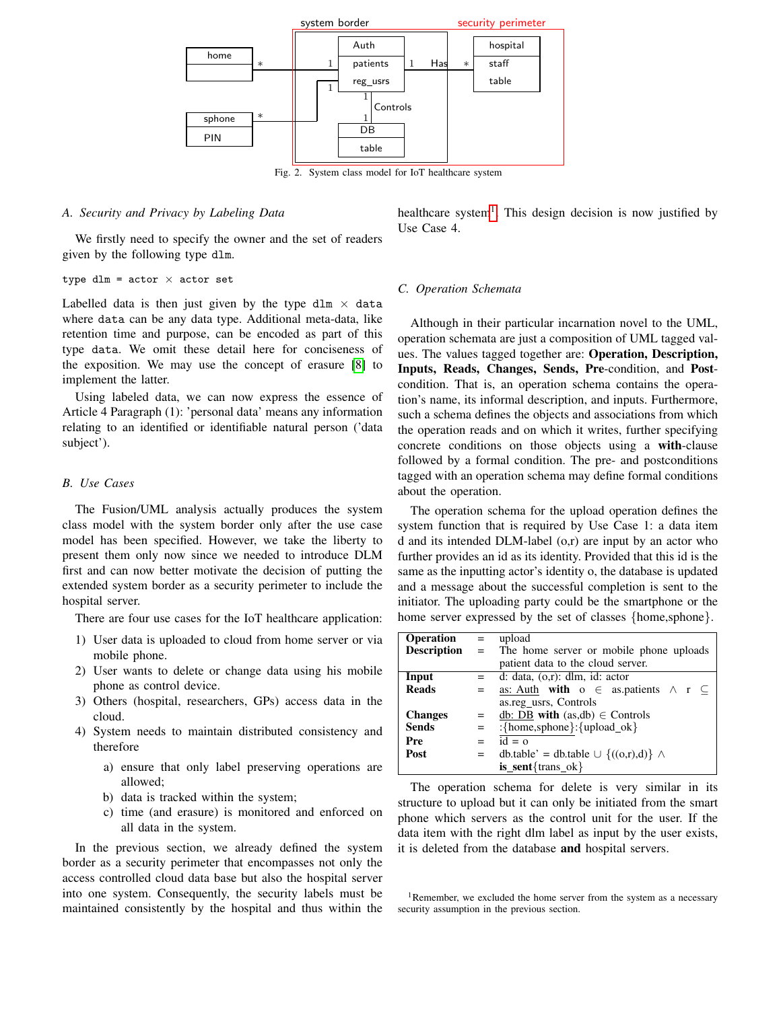

<span id="page-3-0"></span>Fig. 2. System class model for IoT healthcare system

# *A. Security and Privacy by Labeling Data*

We firstly need to specify the owner and the set of readers given by the following type dlm.

```
type dlm = actor \times actor
```
Labelled data is then just given by the type dlm  $\times$  data where data can be any data type. Additional meta-data, like retention time and purpose, can be encoded as part of this type data. We omit these detail here for conciseness of the exposition. We may use the concept of erasure [\[8\]](#page-5-10) to implement the latter.

Using labeled data, we can now express the essence of Article 4 Paragraph (1): 'personal data' means any information relating to an identified or identifiable natural person ('data subject').

# *B. Use Cases*

The Fusion/UML analysis actually produces the system class model with the system border only after the use case model has been specified. However, we take the liberty to present them only now since we needed to introduce DLM first and can now better motivate the decision of putting the extended system border as a security perimeter to include the hospital server.

There are four use cases for the IoT healthcare application:

- 1) User data is uploaded to cloud from home server or via mobile phone.
- 2) User wants to delete or change data using his mobile phone as control device.
- 3) Others (hospital, researchers, GPs) access data in the cloud.
- 4) System needs to maintain distributed consistency and therefore
	- a) ensure that only label preserving operations are allowed;
	- b) data is tracked within the system;
	- c) time (and erasure) is monitored and enforced on all data in the system.

In the previous section, we already defined the system border as a security perimeter that encompasses not only the access controlled cloud data base but also the hospital server into one system. Consequently, the security labels must be maintained consistently by the hospital and thus within the

healthcare system<sup>[1](#page-3-1)</sup>. This design decision is now justified by Use Case 4.

## *C. Operation Schemata*

Although in their particular incarnation novel to the UML, operation schemata are just a composition of UML tagged values. The values tagged together are: Operation, Description, Inputs, Reads, Changes, Sends, Pre-condition, and Postcondition. That is, an operation schema contains the operation's name, its informal description, and inputs. Furthermore, such a schema defines the objects and associations from which the operation reads and on which it writes, further specifying concrete conditions on those objects using a with-clause followed by a formal condition. The pre- and postconditions tagged with an operation schema may define formal conditions about the operation.

The operation schema for the upload operation defines the system function that is required by Use Case 1: a data item d and its intended DLM-label (o,r) are input by an actor who further provides an id as its identity. Provided that this id is the same as the inputting actor's identity o, the database is updated and a message about the successful completion is sent to the initiator. The uploading party could be the smartphone or the home server expressed by the set of classes {home,sphone}.

| <b>Operation</b>   | $\alpha = 1$ | upload                                                 |
|--------------------|--------------|--------------------------------------------------------|
| <b>Description</b> |              | = The home server or mobile phone uploads              |
|                    |              | patient data to the cloud server.                      |
| Input              |              | $=$ d: data, $(o,r)$ : dlm, id: actor                  |
| <b>Reads</b>       | $=$          | as: Auth with $o \in$ as patients $\wedge$ r $\subset$ |
|                    |              | as.reg usrs, Controls                                  |
| <b>Changes</b>     | $=$          | db: DB with $(as, db) \in$ Controls                    |
| <b>Sends</b>       | $=$          | : ${\{home, sphone\}}$ : ${\{upload\_ok\}}$            |
| Pre                | $=$          | $id = 0$                                               |
| Post               | $=$          | db.table' = db.table $\cup$ {((o,r),d)} $\wedge$       |
|                    |              | $is\_sent {trans\_ok}$                                 |

The operation schema for delete is very similar in its structure to upload but it can only be initiated from the smart phone which servers as the control unit for the user. If the data item with the right dlm label as input by the user exists, it is deleted from the database and hospital servers.

<span id="page-3-1"></span><sup>1</sup>Remember, we excluded the home server from the system as a necessary security assumption in the previous section.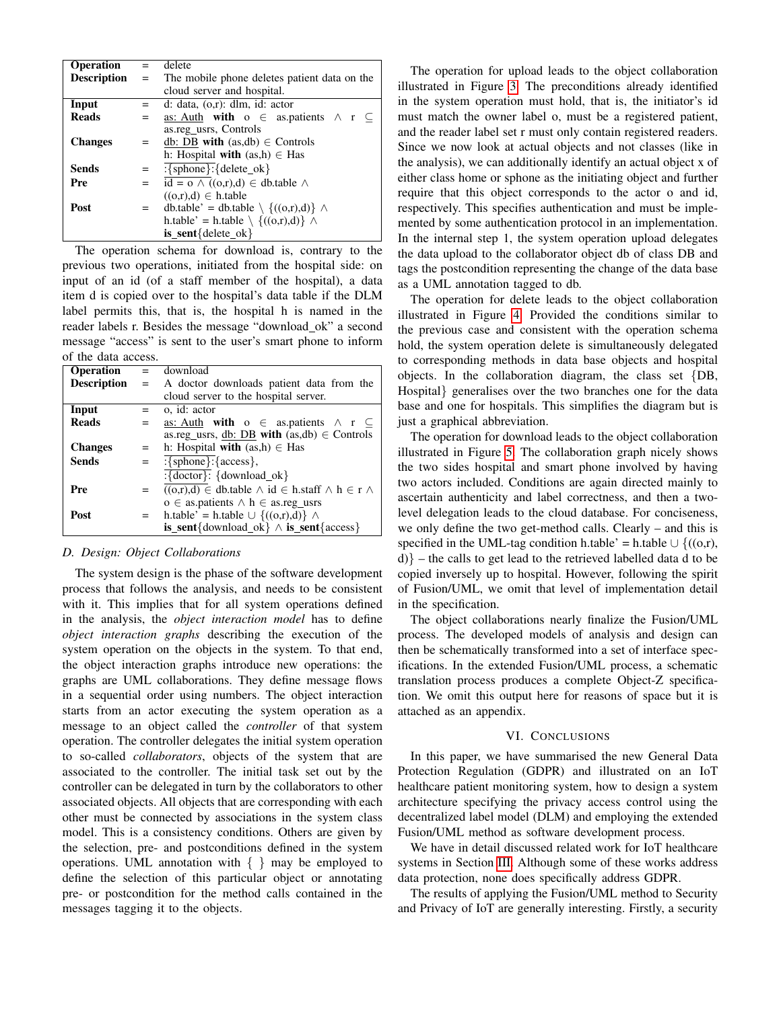| <b>Operation</b>   | $=$ | delete                                              |
|--------------------|-----|-----------------------------------------------------|
| <b>Description</b> | $=$ | The mobile phone deletes patient data on the        |
|                    |     | cloud server and hospital.                          |
| Input              |     | d: data, $(o,r)$ : dlm, id: actor                   |
| <b>Reads</b>       |     | as: Auth with $o \in$ as patients $\land r \subset$ |
|                    |     | as.reg usrs, Controls                               |
| <b>Changes</b>     | $=$ | db: DB with $(as, db) \in$ Controls                 |
|                    |     | h: Hospital with $(as,h) \in Has$                   |
| <b>Sends</b>       | $=$ | $:\overline{\{sphone\}}:\overline{\{delta\_ok\}}$   |
| Pre                | $=$ | $id = o \wedge ((o,r),d) \in db$ .table $\wedge$    |
|                    |     | $((o,r),d) \in h$ .table                            |
| Post               |     | db.table' = db.table $\setminus \{((o,r),d)\}\land$ |
|                    |     | h.table' = h.table $\setminus \{((o,r),d)\}\land$   |
|                    |     | $is\_sent{delete\_ok}$                              |

The operation schema for download is, contrary to the previous two operations, initiated from the hospital side: on input of an id (of a staff member of the hospital), a data item d is copied over to the hospital's data table if the DLM label permits this, that is, the hospital h is named in the reader labels r. Besides the message "download ok" a second message "access" is sent to the user's smart phone to inform of the data access.

| Operation          |     | $=$ download                                                                                                   |
|--------------------|-----|----------------------------------------------------------------------------------------------------------------|
|                    |     |                                                                                                                |
| <b>Description</b> | $=$ | A doctor downloads patient data from the                                                                       |
|                    |     | cloud server to the hospital server.                                                                           |
| Input              |     | o. id: actor                                                                                                   |
| <b>Reads</b>       | $=$ | as: Auth with $o \in$ as. patients $\land r \subseteq$                                                         |
|                    |     | as.reg_usrs, db: DB with $(as, db) \in$ Controls                                                               |
| <b>Changes</b>     |     | h: Hospital with $(as,h) \in Has$                                                                              |
| <b>Sends</b>       | $=$ | $\frac{1}{\frac{1}{2}}$ {sphone}: {access},                                                                    |
|                    |     | $:\{ doctor\}: \{download_of\}$                                                                                |
| Pre                |     | $((o,r),d) \in \text{db.table } \wedge \text{ id } \in \text{h.staff } \wedge \text{ h } \in \text{r } \wedge$ |
|                    |     | $o \in$ as patients $\land$ h $\in$ as reg usrs                                                                |
| Post               | $=$ | h.table' = h.table $\cup$ {((o,r),d)} $\wedge$                                                                 |
|                    |     | is_sent{download_ok} $\land$ is_sent{access}                                                                   |

# *D. Design: Object Collaborations*

The system design is the phase of the software development process that follows the analysis, and needs to be consistent with it. This implies that for all system operations defined in the analysis, the *object interaction model* has to define *object interaction graphs* describing the execution of the system operation on the objects in the system. To that end, the object interaction graphs introduce new operations: the graphs are UML collaborations. They define message flows in a sequential order using numbers. The object interaction starts from an actor executing the system operation as a message to an object called the *controller* of that system operation. The controller delegates the initial system operation to so-called *collaborators*, objects of the system that are associated to the controller. The initial task set out by the controller can be delegated in turn by the collaborators to other associated objects. All objects that are corresponding with each other must be connected by associations in the system class model. This is a consistency conditions. Others are given by the selection, pre- and postconditions defined in the system operations. UML annotation with  $\{\}$  may be employed to define the selection of this particular object or annotating pre- or postcondition for the method calls contained in the messages tagging it to the objects.

The operation for upload leads to the object collaboration illustrated in Figure [3.](#page-5-11) The preconditions already identified in the system operation must hold, that is, the initiator's id must match the owner label o, must be a registered patient, and the reader label set r must only contain registered readers. Since we now look at actual objects and not classes (like in the analysis), we can additionally identify an actual object x of either class home or sphone as the initiating object and further require that this object corresponds to the actor o and id, respectively. This specifies authentication and must be implemented by some authentication protocol in an implementation. In the internal step 1, the system operation upload delegates the data upload to the collaborator object db of class DB and tags the postcondition representing the change of the data base as a UML annotation tagged to db.

The operation for delete leads to the object collaboration illustrated in Figure [4.](#page-5-12) Provided the conditions similar to the previous case and consistent with the operation schema hold, the system operation delete is simultaneously delegated to corresponding methods in data base objects and hospital objects. In the collaboration diagram, the class set {DB, Hospital} generalises over the two branches one for the data base and one for hospitals. This simplifies the diagram but is just a graphical abbreviation.

The operation for download leads to the object collaboration illustrated in Figure [5.](#page-5-13) The collaboration graph nicely shows the two sides hospital and smart phone involved by having two actors included. Conditions are again directed mainly to ascertain authenticity and label correctness, and then a twolevel delegation leads to the cloud database. For conciseness, we only define the two get-method calls. Clearly – and this is specified in the UML-tag condition h.table' = h.table  $\cup$  {((o,r), d)} – the calls to get lead to the retrieved labelled data d to be copied inversely up to hospital. However, following the spirit of Fusion/UML, we omit that level of implementation detail in the specification.

The object collaborations nearly finalize the Fusion/UML process. The developed models of analysis and design can then be schematically transformed into a set of interface specifications. In the extended Fusion/UML process, a schematic translation process produces a complete Object-Z specification. We omit this output here for reasons of space but it is attached as an appendix.

# VI. CONCLUSIONS

<span id="page-4-0"></span>In this paper, we have summarised the new General Data Protection Regulation (GDPR) and illustrated on an IoT healthcare patient monitoring system, how to design a system architecture specifying the privacy access control using the decentralized label model (DLM) and employing the extended Fusion/UML method as software development process.

We have in detail discussed related work for IoT healthcare systems in Section [III.](#page-1-0) Although some of these works address data protection, none does specifically address GDPR.

The results of applying the Fusion/UML method to Security and Privacy of IoT are generally interesting. Firstly, a security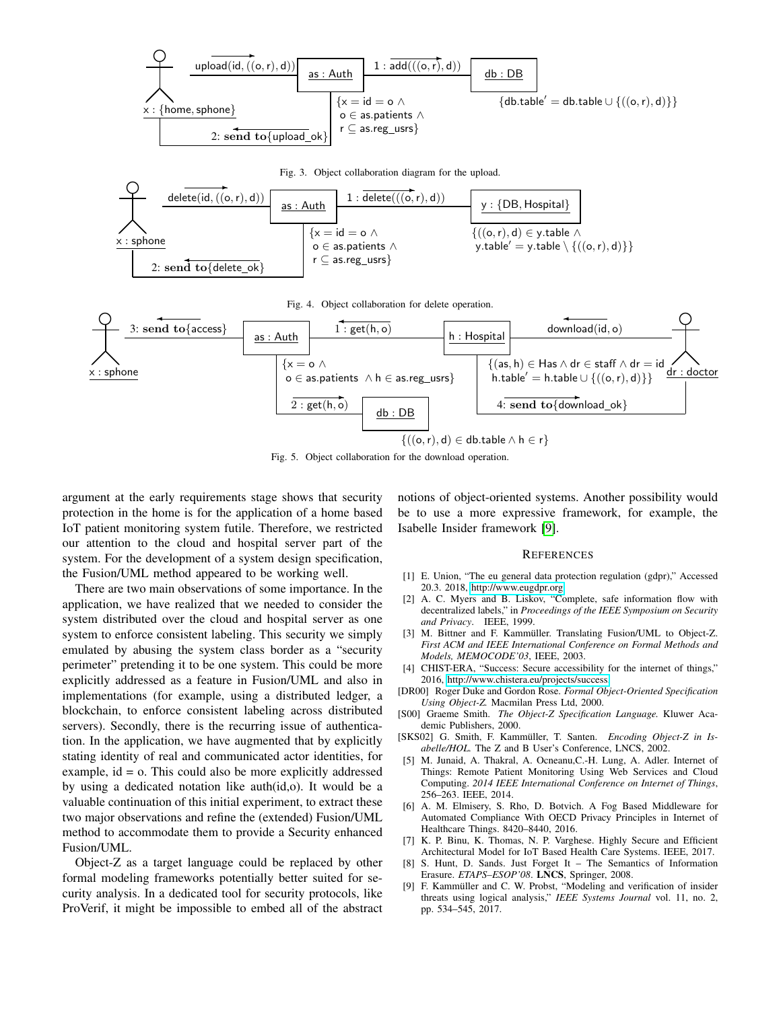<span id="page-5-11"></span>

<span id="page-5-13"></span><span id="page-5-12"></span>Fig. 5. Object collaboration for the download operation.

argument at the early requirements stage shows that security protection in the home is for the application of a home based IoT patient monitoring system futile. Therefore, we restricted our attention to the cloud and hospital server part of the system. For the development of a system design specification, the Fusion/UML method appeared to be working well.

There are two main observations of some importance. In the application, we have realized that we needed to consider the system distributed over the cloud and hospital server as one system to enforce consistent labeling. This security we simply emulated by abusing the system class border as a "security perimeter" pretending it to be one system. This could be more explicitly addressed as a feature in Fusion/UML and also in implementations (for example, using a distributed ledger, a blockchain, to enforce consistent labeling across distributed servers). Secondly, there is the recurring issue of authentication. In the application, we have augmented that by explicitly stating identity of real and communicated actor identities, for example, id = o. This could also be more explicitly addressed by using a dedicated notation like auth(id,o). It would be a valuable continuation of this initial experiment, to extract these two major observations and refine the (extended) Fusion/UML method to accommodate them to provide a Security enhanced Fusion/UML.

Object-Z as a target language could be replaced by other formal modeling frameworks potentially better suited for security analysis. In a dedicated tool for security protocols, like ProVerif, it might be impossible to embed all of the abstract notions of object-oriented systems. Another possibility would be to use a more expressive framework, for example, the Isabelle Insider framework [\[9\]](#page-5-14).

#### **REFERENCES**

- <span id="page-5-0"></span>[1] E. Union, "The eu general data protection regulation (gdpr)," Accessed 20.3. 2018, [http://www.eugdpr.org.](http://www.eugdpr.org)
- <span id="page-5-1"></span>[2] A. C. Myers and B. Liskov, "Complete, safe information flow with decentralized labels," in *Proceedings of the IEEE Symposium on Security and Privacy*. IEEE, 1999.
- <span id="page-5-2"></span>[3] M. Bittner and F. Kammüller. Translating Fusion/UML to Object-Z. *First ACM and IEEE International Conference on Formal Methods and Models, MEMOCODE'03*, IEEE, 2003.
- <span id="page-5-3"></span>[4] CHIST-ERA, "Success: Secure accessibility for the internet of things," 2016, [http://www.chistera.eu/projects/success.](http://www.chistera.eu/projects/success)
- <span id="page-5-4"></span>[DR00] Roger Duke and Gordon Rose. *Formal Object-Oriented Specification Using Object-Z.* Macmilan Press Ltd, 2000.
- <span id="page-5-5"></span>[S00] Graeme Smith. *The Object-Z Specification Language.* Kluwer Academic Publishers, 2000.
- <span id="page-5-6"></span>[SKS02] G. Smith, F. Kammüller, T. Santen. Encoding Object-Z in Is*abelle/HOL.* The Z and B User's Conference, LNCS, 2002.
- <span id="page-5-7"></span>[5] M. Junaid, A. Thakral, A. Ocneanu, C.-H. Lung, A. Adler. Internet of Things: Remote Patient Monitoring Using Web Services and Cloud Computing. *2014 IEEE International Conference on Internet of Things*, 256–263. IEEE, 2014.
- <span id="page-5-8"></span>[6] A. M. Elmisery, S. Rho, D. Botvich. A Fog Based Middleware for Automated Compliance With OECD Privacy Principles in Internet of Healthcare Things. 8420–8440, 2016.
- <span id="page-5-9"></span>[7] K. P. Binu, K. Thomas, N. P. Varghese. Highly Secure and Efficient Architectural Model for IoT Based Health Care Systems. IEEE, 2017.
- <span id="page-5-10"></span>[8] S. Hunt, D. Sands. Just Forget It – The Semantics of Information Erasure. *ETAPS–ESOP'08*. LNCS, Springer, 2008.
- <span id="page-5-14"></span>[9] F. Kammüller and C. W. Probst, "Modeling and verification of insider threats using logical analysis," *IEEE Systems Journal* vol. 11, no. 2, pp. 534–545, 2017.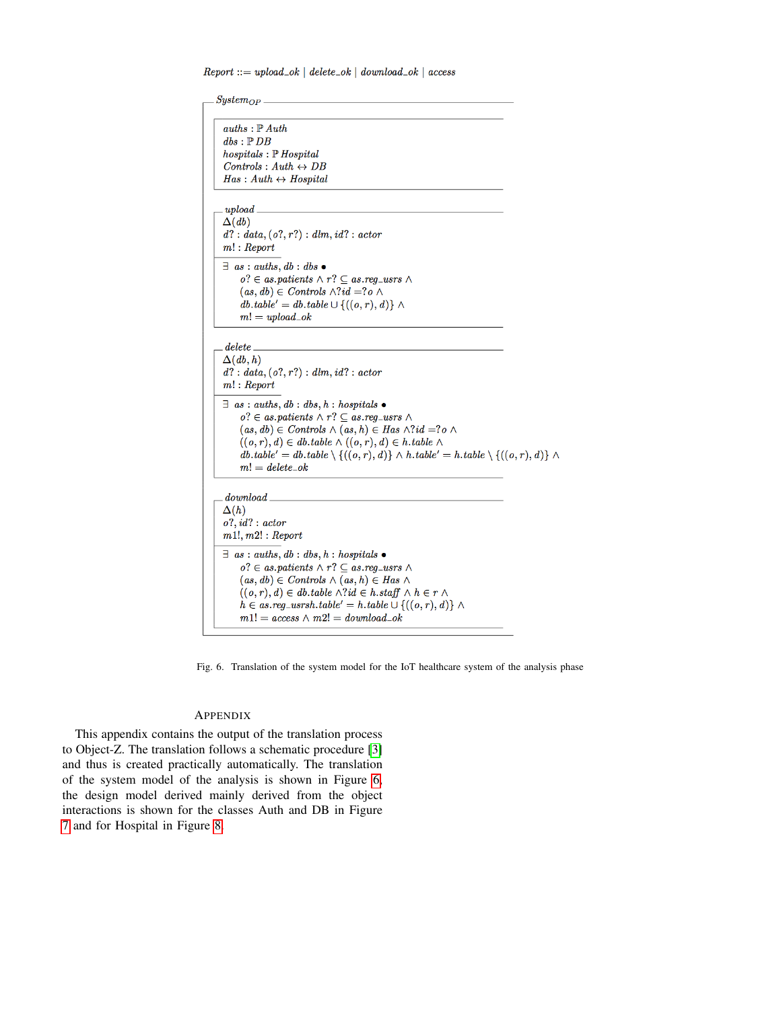$Report ::= upload\_ok | delete\_ok | download\_ok | access$ 

```
System_{OP}.
auths : \mathbb{P} Auth
\mathit{dbs}: \mathbb{P}\,\mathit{DB}\emph{hospitals}: \mathbb{P}~\emph{Hospital}Contents \,:\, Author \leftrightarrow DBHas: Author \leftrightarrow Hospitalupload\Delta(db)d? : data, (o?, r?) : dm, id? : actorm! : Report\exists as: auths, db: dbs \bulleto? \in \textit{as.patients} \land r? \subseteq \textit{as.reg_users} \land(as, db) \in \textit{Controls} \land ?id = ?o \landdb. table' = db. table \cup \{((o, r), d)\} \wedgem! = upload\_okdelete\Delta(db, h)d? : data, (o?, r?) : dm, id? : actorm! : Report\exists as : auths, db : dbs, h : hospitals \bulleto? \in as.patients \land r? \subseteq as.read_users \land s(as, db) \in \text{Controls} \land (as, h) \in \text{Has} \land ?id = ?o \land((o, r), d) \in \text{db.}table \wedge ((o, r), d) \in \text{h.}table \wedgedb. table' = db. table \setminus \{((o, r), d)\} \wedge h. table' = h. table \setminus \{((o, r), d)\} \wedgem!=\textit{delete}\_\textit{ok}_{download}\Delta(h)o?, id? : actorm1!, m2! : Report\exists as: auths, db: dbs, h: hospitals •
     o? \in as.path \land r? \subseteq as.read_users \land s(as, db) \in \textit{Controls} \land (as, h) \in \textit{Has} \land((o, r), d) \in db</math>.table <math>\wedge ?id \in h</math>.staff <math>\wedge h \in r \wedge</math>h \in as.read_usersh.table' = h.table \cup \{((o, r), d)\}\ \wedgem1! = access \,\wedge\, m2! = download\_ok
```
<span id="page-6-1"></span>Fig. 6. Translation of the system model for the IoT healthcare system of the analysis phase

# <span id="page-6-0"></span>**APPENDIX**

This appendix contains the output of the translation process to Object-Z. The translation follows a schematic procedure [\[3\]](#page-5-2) and thus is created practically automatically. The translation of the system model of the analysis is shown in Figure [6,](#page-6-1) the design model derived mainly derived from the object interactions is shown for the classes Auth and DB in Figure [7](#page-7-0) and for Hospital in Figure [8.](#page-7-1)